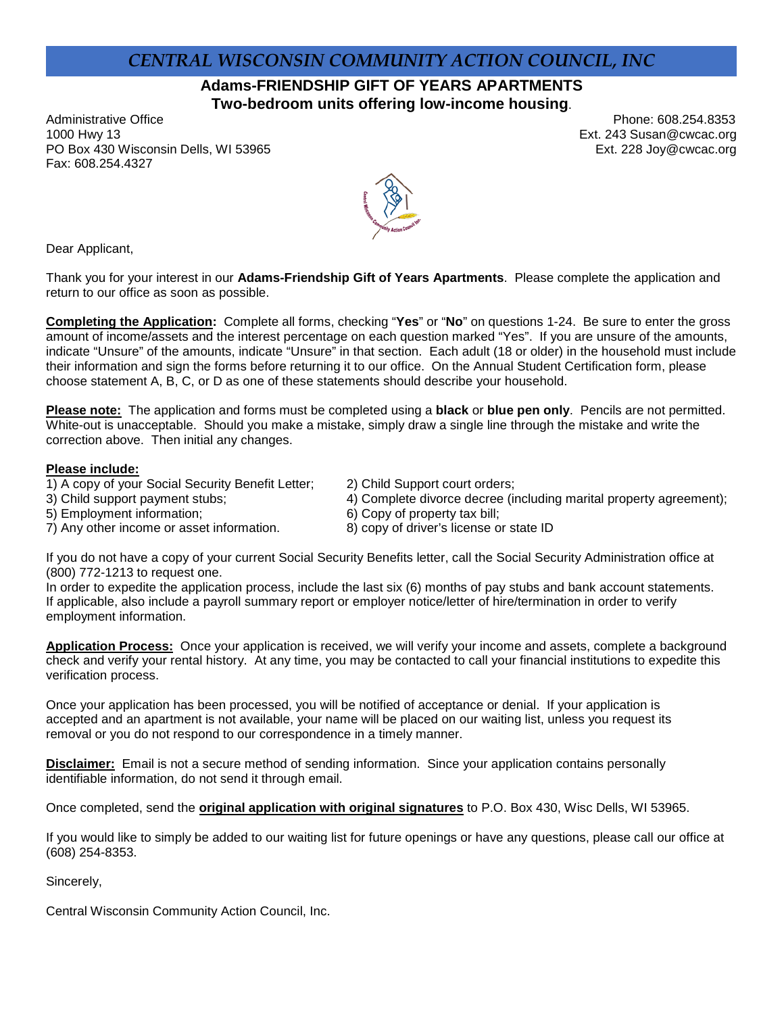# *CENTRAL WISCONSIN COMMUNITY ACTION COUNCIL, INC*

**Adams-FRIENDSHIP GIFT OF YEARS APARTMENTS Two-bedroom units offering low-income housing**.

Administrative Office **Phone: 608.254.8353** 1000 Hwy 13 Ext. 243 Susan@cwcac.org PO Box 430 Wisconsin Dells, WI 53965 **Ext. 228 Joy@cwcac.org** Ext. 228 Joy@cwcac.org Fax: 608.254.4327



Dear Applicant,

Thank you for your interest in our **Adams-Friendship Gift of Years Apartments**. Please complete the application and return to our office as soon as possible.

**Completing the Application:** Complete all forms, checking "**Yes**" or "**No**" on questions 1-24. Be sure to enter the gross amount of income/assets and the interest percentage on each question marked "Yes". If you are unsure of the amounts, indicate "Unsure" of the amounts, indicate "Unsure" in that section. Each adult (18 or older) in the household must include their information and sign the forms before returning it to our office. On the Annual Student Certification form, please choose statement A, B, C, or D as one of these statements should describe your household.

**Please note:** The application and forms must be completed using a **black** or **blue pen only**. Pencils are not permitted. White-out is unacceptable. Should you make a mistake, simply draw a single line through the mistake and write the correction above. Then initial any changes.

#### **Please include:**

- 1) A copy of your Social Security Benefit Letter; 2) Child Support court orders;
	-
- 5) Employment information;
- 7) Any other income or asset information. 8) copy of driver's license or state ID
- 
- 3) Child support payment stubs; 4) Complete divorce decree (including marital property agreement);<br>5) Employment information; 6) Copy of property tax bill;
	-
	-

If you do not have a copy of your current Social Security Benefits letter, call the Social Security Administration office at (800) 772-1213 to request one.

In order to expedite the application process, include the last six (6) months of pay stubs and bank account statements. If applicable, also include a payroll summary report or employer notice/letter of hire/termination in order to verify employment information.

**Application Process:** Once your application is received, we will verify your income and assets, complete a background check and verify your rental history. At any time, you may be contacted to call your financial institutions to expedite this verification process.

Once your application has been processed, you will be notified of acceptance or denial. If your application is accepted and an apartment is not available, your name will be placed on our waiting list, unless you request its removal or you do not respond to our correspondence in a timely manner.

**Disclaimer:** Email is not a secure method of sending information. Since your application contains personally identifiable information, do not send it through email.

Once completed, send the **original application with original signatures** to P.O. Box 430, Wisc Dells, WI 53965.

If you would like to simply be added to our waiting list for future openings or have any questions, please call our office at (608) 254-8353.

Sincerely,

Central Wisconsin Community Action Council, Inc.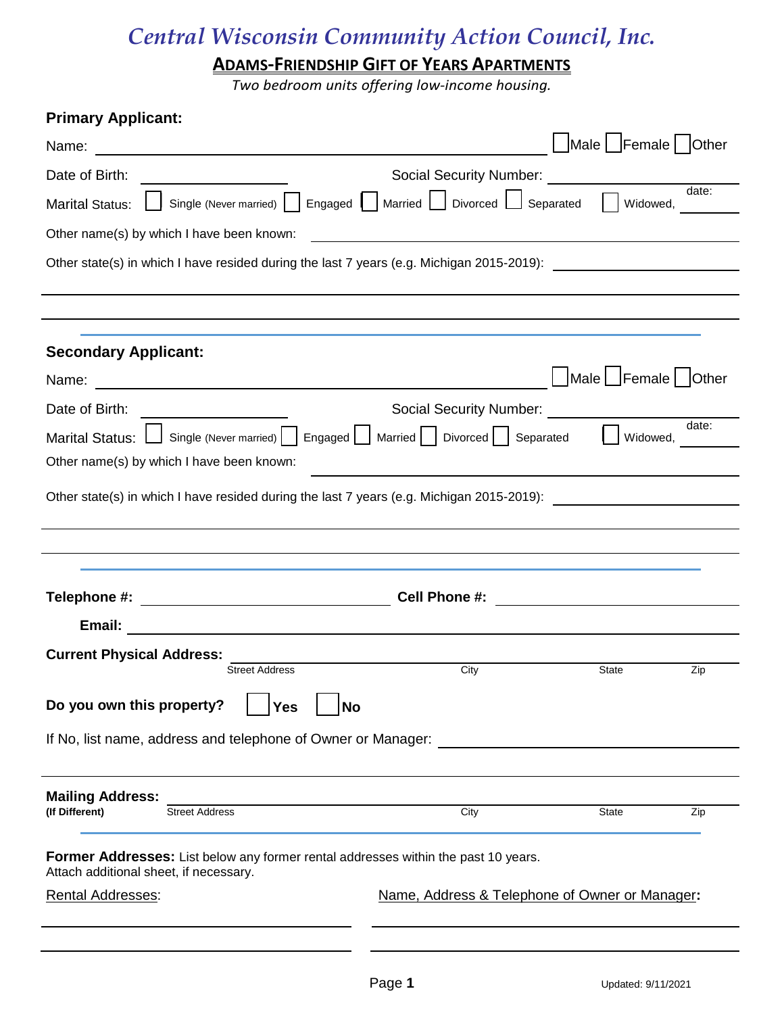**ADAMS-FRIENDSHIP GIFT OF YEARS APARTMENTS**

*Two bedroom units offering low-income housing.*

**Primary Applicant:** 

| r mnary Applicant.                                                                                                                  |                                                                                                                |       |
|-------------------------------------------------------------------------------------------------------------------------------------|----------------------------------------------------------------------------------------------------------------|-------|
|                                                                                                                                     | Male Female   Other                                                                                            |       |
| Date of Birth:                                                                                                                      | Social Security Number: Social Security Number:                                                                |       |
| <b>Marital Status:</b>                                                                                                              | Single (Never married)     Engaged     Married   Divorced   Separated<br>Widowed,                              | date: |
| Other name(s) by which I have been known:                                                                                           |                                                                                                                |       |
|                                                                                                                                     | Other state(s) in which I have resided during the last 7 years (e.g. Michigan 2015-2019): [169] Charlotter Man |       |
|                                                                                                                                     |                                                                                                                |       |
|                                                                                                                                     |                                                                                                                |       |
| <b>Secondary Applicant:</b>                                                                                                         |                                                                                                                |       |
| Name:<br><u> 1989 - Johann Stein, mars an deus Amerikaansk kommunister (</u>                                                        | $\Box$ Male $\Box$ Female $\Box$ Other                                                                         |       |
| Date of Birth:<br><u> 1980 - Andrea Station Books, amerikansk politiker (</u>                                                       | Social Security Number: Social Security Number:                                                                |       |
| <b>Marital Status:</b>                                                                                                              | Single (Never married)   Engaged   Married   Divorced   Separated  <br>Widowed,                                | date: |
| Other name(s) by which I have been known:                                                                                           |                                                                                                                |       |
|                                                                                                                                     | Other state(s) in which I have resided during the last 7 years (e.g. Michigan 2015-2019):                      |       |
|                                                                                                                                     |                                                                                                                |       |
|                                                                                                                                     |                                                                                                                |       |
|                                                                                                                                     |                                                                                                                |       |
| Telephone #: _________________________________                                                                                      | Cell Phone #:<br><u> 1989 - Andrea Station Books, amerikansk politik (</u>                                     |       |
| Email:<br><u> 1989 - Johann Stein, mars an deutscher Stein und der Stein und der Stein und der Stein und der Stein und der</u>      |                                                                                                                |       |
| <b>Current Physical Address:</b><br><b>Street Address</b>                                                                           | City<br>State                                                                                                  | Zip   |
|                                                                                                                                     |                                                                                                                |       |
| Do you own this property?<br><b>Yes</b><br><b>No</b>                                                                                |                                                                                                                |       |
| If No, list name, address and telephone of Owner or Manager:                                                                        |                                                                                                                |       |
|                                                                                                                                     |                                                                                                                |       |
| <b>Mailing Address:</b><br><b>Street Address</b>                                                                                    |                                                                                                                |       |
| (If Different)                                                                                                                      | City<br>State                                                                                                  | Zip   |
| <b>Former Addresses:</b> List below any former rental addresses within the past 10 years.<br>Attach additional sheet, if necessary. |                                                                                                                |       |
| <b>Rental Addresses:</b>                                                                                                            | Name, Address & Telephone of Owner or Manager:                                                                 |       |
|                                                                                                                                     |                                                                                                                |       |
|                                                                                                                                     |                                                                                                                |       |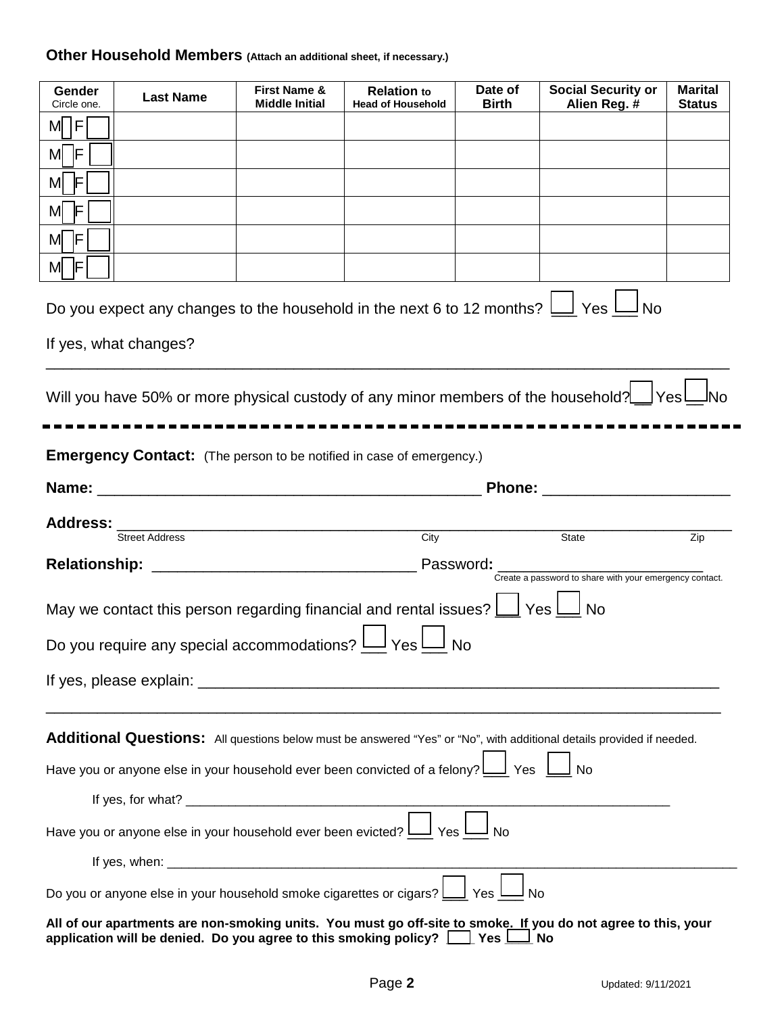# **Other Household Members (Attach an additional sheet, if necessary.)**

| Gender<br>Circle one.                                                                                                                                                                                  | <b>Last Name</b>                                                                                 | First Name &<br><b>Middle Initial</b> | <b>Relation to</b><br><b>Head of Household</b> | Date of<br><b>Birth</b> | <b>Social Security or</b><br>Alien Reg. #                                                                             | <b>Marital</b><br><b>Status</b> |
|--------------------------------------------------------------------------------------------------------------------------------------------------------------------------------------------------------|--------------------------------------------------------------------------------------------------|---------------------------------------|------------------------------------------------|-------------------------|-----------------------------------------------------------------------------------------------------------------------|---------------------------------|
| M  F                                                                                                                                                                                                   |                                                                                                  |                                       |                                                |                         |                                                                                                                       |                                 |
| M F                                                                                                                                                                                                    |                                                                                                  |                                       |                                                |                         |                                                                                                                       |                                 |
| M F                                                                                                                                                                                                    |                                                                                                  |                                       |                                                |                         |                                                                                                                       |                                 |
| M F                                                                                                                                                                                                    |                                                                                                  |                                       |                                                |                         |                                                                                                                       |                                 |
| M F                                                                                                                                                                                                    |                                                                                                  |                                       |                                                |                         |                                                                                                                       |                                 |
| $M$ F                                                                                                                                                                                                  |                                                                                                  |                                       |                                                |                         |                                                                                                                       |                                 |
|                                                                                                                                                                                                        |                                                                                                  |                                       |                                                |                         | Do you expect any changes to the household in the next 6 to 12 months? $\bigsqcup$ Yes $\bigsqcup$ No                 |                                 |
|                                                                                                                                                                                                        | If yes, what changes?                                                                            |                                       |                                                |                         |                                                                                                                       |                                 |
|                                                                                                                                                                                                        |                                                                                                  |                                       |                                                |                         |                                                                                                                       |                                 |
|                                                                                                                                                                                                        |                                                                                                  |                                       |                                                |                         | Will you have 50% or more physical custody of any minor members of the household? Ves                                 |                                 |
|                                                                                                                                                                                                        |                                                                                                  |                                       |                                                |                         |                                                                                                                       |                                 |
|                                                                                                                                                                                                        | <b>Emergency Contact:</b> (The person to be notified in case of emergency.)                      |                                       |                                                |                         |                                                                                                                       |                                 |
|                                                                                                                                                                                                        |                                                                                                  |                                       |                                                |                         | Phone: ________________                                                                                               |                                 |
|                                                                                                                                                                                                        |                                                                                                  |                                       |                                                |                         |                                                                                                                       |                                 |
|                                                                                                                                                                                                        | <b>Street Address</b>                                                                            |                                       | City                                           |                         | State                                                                                                                 | Zip                             |
|                                                                                                                                                                                                        |                                                                                                  |                                       |                                                |                         | Create a password to share with your emergency contact.                                                               |                                 |
|                                                                                                                                                                                                        | May we contact this person regarding financial and rental issues? $\bigsqcup$ Yes $\bigsqcup$ No |                                       |                                                |                         |                                                                                                                       |                                 |
|                                                                                                                                                                                                        | Do you require any special accommodations? $\underline{\mathsf{I}}$                              |                                       | J y <sub>es</sub> l                            | <b>No</b>               |                                                                                                                       |                                 |
|                                                                                                                                                                                                        |                                                                                                  |                                       |                                                |                         |                                                                                                                       |                                 |
|                                                                                                                                                                                                        |                                                                                                  |                                       |                                                |                         |                                                                                                                       |                                 |
|                                                                                                                                                                                                        |                                                                                                  |                                       |                                                |                         |                                                                                                                       |                                 |
|                                                                                                                                                                                                        |                                                                                                  |                                       |                                                |                         | Additional Questions: All questions below must be answered "Yes" or "No", with additional details provided if needed. |                                 |
| Have you or anyone else in your household ever been convicted of a felony? $\boxed{\phantom{a}}$ Yes $\phantom{a}$<br>No.                                                                              |                                                                                                  |                                       |                                                |                         |                                                                                                                       |                                 |
|                                                                                                                                                                                                        |                                                                                                  |                                       |                                                |                         |                                                                                                                       |                                 |
| No Have you or anyone else in your household ever been evicted? $\Box$ Yes                                                                                                                             |                                                                                                  |                                       |                                                |                         |                                                                                                                       |                                 |
|                                                                                                                                                                                                        |                                                                                                  |                                       |                                                |                         |                                                                                                                       |                                 |
| Do you or anyone else in your household smoke cigarettes or cigars? $\Box$ Yes $\Box$                                                                                                                  |                                                                                                  |                                       |                                                |                         |                                                                                                                       |                                 |
| All of our apartments are non-smoking units. You must go off-site to smoke. If you do not agree to this, your<br>application will be denied. Do you agree to this smoking policy? $\Box$ Yes $\Box$ No |                                                                                                  |                                       |                                                |                         |                                                                                                                       |                                 |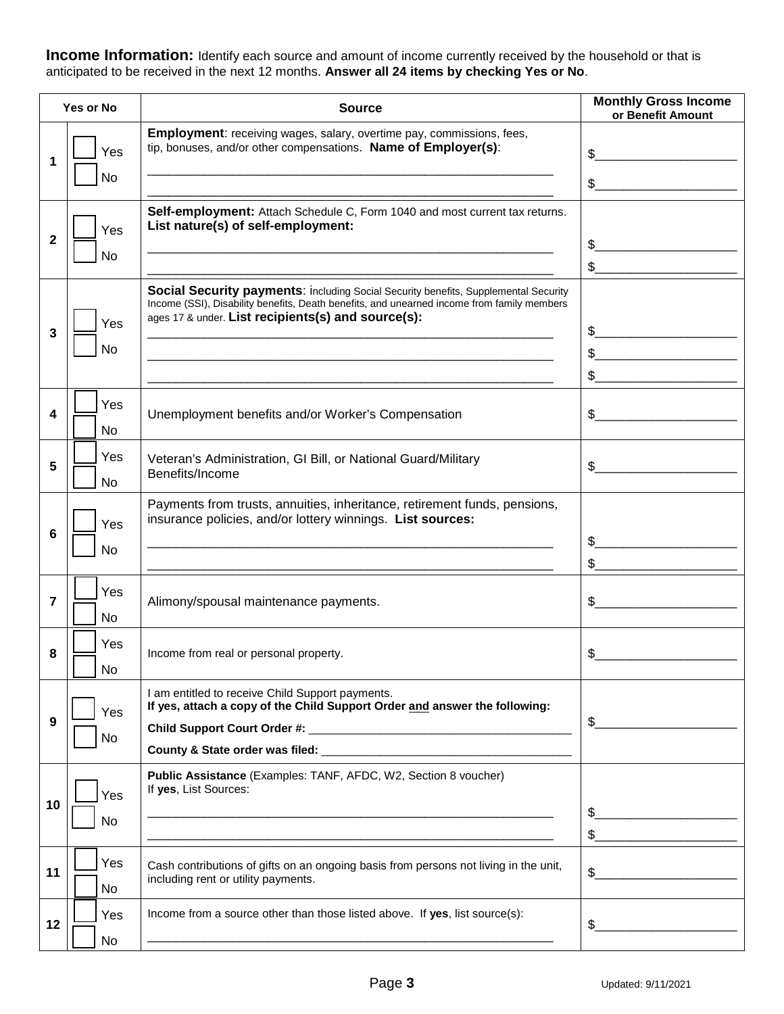**Income Information:** Identify each source and amount of income currently received by the household or that is anticipated to be received in the next 12 months. **Answer all 24 items by checking Yes or No**.

| Yes or No    |                       | <b>Source</b>                                                                                                                                                                                                                           | <b>Monthly Gross Income</b><br>or Benefit Amount         |
|--------------|-----------------------|-----------------------------------------------------------------------------------------------------------------------------------------------------------------------------------------------------------------------------------------|----------------------------------------------------------|
| 1            | Yes<br>No             | <b>Employment:</b> receiving wages, salary, overtime pay, commissions, fees,<br>tip, bonuses, and/or other compensations. Name of Employer(s):                                                                                          | \$                                                       |
|              |                       |                                                                                                                                                                                                                                         | $\frac{1}{2}$                                            |
|              | Yes                   | Self-employment: Attach Schedule C, Form 1040 and most current tax returns.<br>List nature(s) of self-employment:                                                                                                                       |                                                          |
| $\mathbf{2}$ | No                    |                                                                                                                                                                                                                                         | \$                                                       |
|              |                       |                                                                                                                                                                                                                                         | $\frac{1}{2}$                                            |
|              | Yes                   | Social Security payments: including Social Security benefits, Supplemental Security<br>Income (SSI), Disability benefits, Death benefits, and unearned income from family members<br>ages 17 & under. List recipients(s) and source(s): |                                                          |
| 3            | No                    |                                                                                                                                                                                                                                         | \$<br>the contract of the contract of the contract of    |
|              |                       |                                                                                                                                                                                                                                         | $\textcircled{S}$ and $\textcircled{S}$<br>$\frac{1}{2}$ |
|              |                       |                                                                                                                                                                                                                                         |                                                          |
| 4            | Yes<br>No             | Unemployment benefits and/or Worker's Compensation                                                                                                                                                                                      | $\mathfrak{S}$                                           |
| 5            | Yes<br><b>No</b>      | Veteran's Administration, GI Bill, or National Guard/Military<br>Benefits/Income                                                                                                                                                        | \$                                                       |
|              | Yes                   | Payments from trusts, annuities, inheritance, retirement funds, pensions,<br>insurance policies, and/or lottery winnings. List sources:                                                                                                 |                                                          |
| 6            | No                    |                                                                                                                                                                                                                                         | \$                                                       |
|              |                       |                                                                                                                                                                                                                                         |                                                          |
| 7            | Yes<br>No             | Alimony/spousal maintenance payments.                                                                                                                                                                                                   | \$                                                       |
| 8            | Yes<br>N <sub>o</sub> | Income from real or personal property.                                                                                                                                                                                                  | \$                                                       |
|              | Yes                   | I am entitled to receive Child Support payments.<br>If yes, attach a copy of the Child Support Order and answer the following:                                                                                                          |                                                          |
| 9            |                       |                                                                                                                                                                                                                                         | $\frac{1}{2}$                                            |
|              | No                    |                                                                                                                                                                                                                                         |                                                          |
|              | Yes                   | Public Assistance (Examples: TANF, AFDC, W2, Section 8 voucher)<br>If yes, List Sources:                                                                                                                                                |                                                          |
| 10           | No                    |                                                                                                                                                                                                                                         | $\frac{1}{2}$                                            |
|              |                       |                                                                                                                                                                                                                                         | $\frac{1}{2}$                                            |
| 11           | Yes<br>No             | Cash contributions of gifts on an ongoing basis from persons not living in the unit,<br>including rent or utility payments.                                                                                                             | $\frac{1}{2}$                                            |
| 12           | Yes                   | Income from a source other than those listed above. If yes, list source(s):                                                                                                                                                             | $\frac{1}{2}$                                            |
|              | No                    |                                                                                                                                                                                                                                         |                                                          |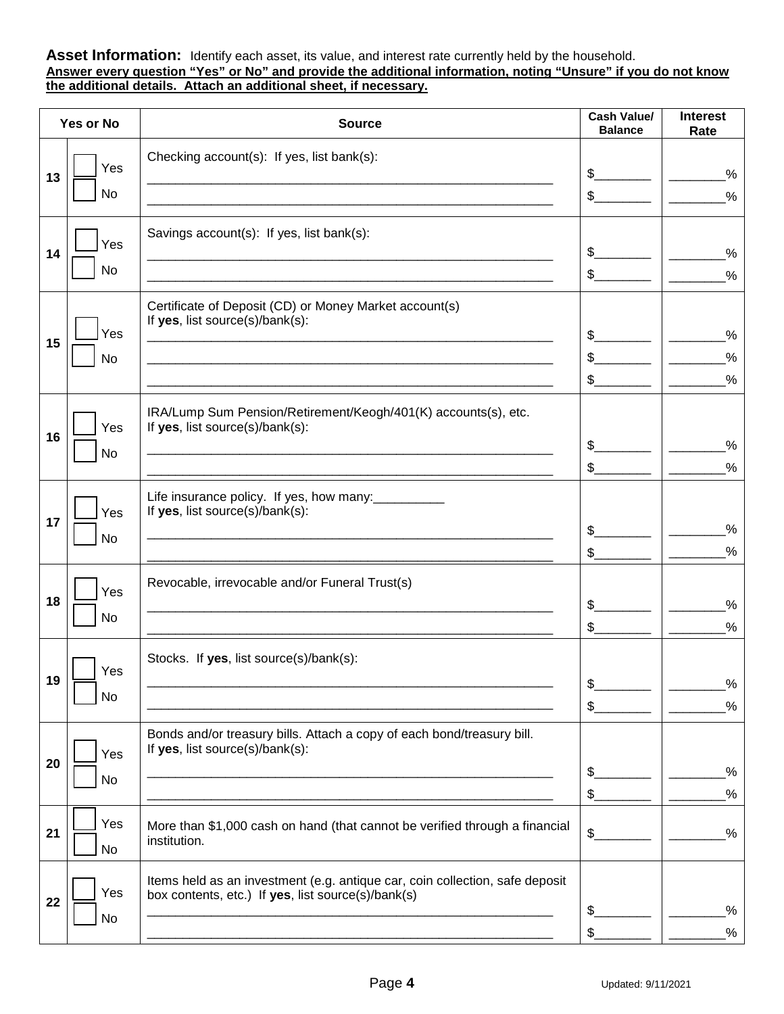#### **Asset Information:** Identify each asset, its value, and interest rate currently held by the household. **Answer every question "Yes" or No" and provide the additional information, noting "Unsure" if you do not know the additional details. Attach an additional sheet, if necessary.**

| Yes or No |           | <b>Source</b>                                                                | <b>Cash Value/</b><br><b>Balance</b> | <b>Interest</b><br>Rate |
|-----------|-----------|------------------------------------------------------------------------------|--------------------------------------|-------------------------|
|           |           | Checking account(s): If yes, list bank(s):                                   |                                      |                         |
| 13        | Yes       |                                                                              | \$                                   | $\%$                    |
|           | No        |                                                                              | $\mathbb{S}$                         | $\frac{0}{0}$           |
|           |           | Savings account(s): If yes, list bank(s):                                    |                                      |                         |
| 14        | Yes       |                                                                              | \$                                   | $\%$                    |
|           | No        |                                                                              | $\frac{1}{2}$                        | $\%$                    |
|           |           | Certificate of Deposit (CD) or Money Market account(s)                       |                                      |                         |
|           | Yes       | If yes, list source(s)/bank(s):                                              | $\mathsf{\$}$                        | $\%$                    |
| 15        | No        |                                                                              | $\mathbb{S}$                         | $\%$                    |
|           |           |                                                                              | $\mathsf{\$}$                        | $\%$                    |
|           |           | IRA/Lump Sum Pension/Retirement/Keogh/401(K) accounts(s), etc.               |                                      |                         |
|           | Yes       | If yes, list source(s)/bank(s):                                              |                                      |                         |
| 16        | No        |                                                                              | \$                                   | $\%$                    |
|           |           |                                                                              | \$                                   | $\%$                    |
|           |           | Life insurance policy. If yes, how many:                                     |                                      |                         |
| 17        | Yes       | If yes, list source(s)/bank(s):                                              |                                      |                         |
|           | <b>No</b> |                                                                              | \$                                   | $\%$<br>$\%$            |
|           |           |                                                                              | $\frac{1}{2}$                        |                         |
|           | Yes       | Revocable, irrevocable and/or Funeral Trust(s)                               |                                      |                         |
| 18        | No        |                                                                              | \$                                   | $\%$                    |
|           |           |                                                                              | \$                                   | $\%$                    |
|           | Yes       | Stocks. If yes, list source(s)/bank(s):                                      |                                      |                         |
| 19        |           |                                                                              | \$                                   | $\%$                    |
|           | No        |                                                                              | $\frac{1}{2}$                        | $\%$                    |
|           |           | Bonds and/or treasury bills. Attach a copy of each bond/treasury bill.       |                                      |                         |
| 20        | Yes       | If yes, list source(s)/bank(s):                                              |                                      |                         |
|           | No        |                                                                              | \$                                   | $\%$                    |
|           |           |                                                                              | $\frac{1}{2}$                        | $\frac{0}{2}$           |
| 21        | Yes       | More than \$1,000 cash on hand (that cannot be verified through a financial  | \$                                   | $\%$                    |
|           | No        | institution.                                                                 |                                      |                         |
|           |           | Items held as an investment (e.g. antique car, coin collection, safe deposit |                                      |                         |
| 22        | Yes       | box contents, etc.) If yes, list source(s)/bank(s)                           | \$                                   | $\frac{0}{2}$           |
|           | No        |                                                                              | \$                                   | $\frac{0}{2}$           |
|           |           |                                                                              |                                      |                         |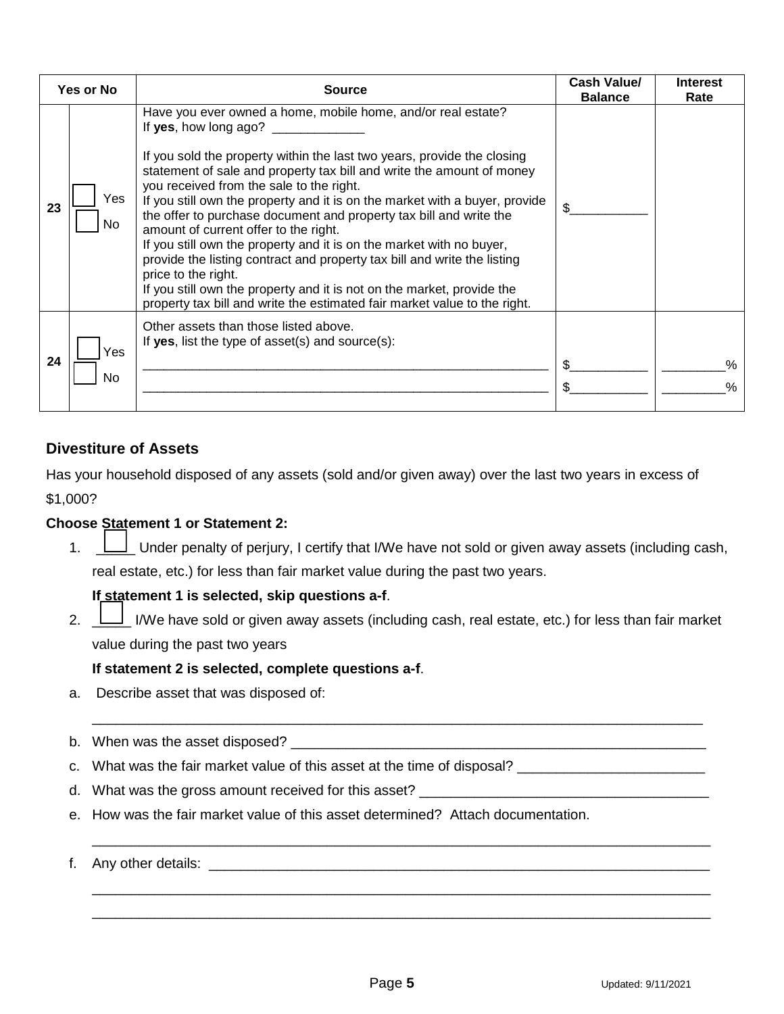| <b>Yes or No</b> |             | <b>Source</b>                                                                                                                                                                                                                                                                                                                                                                                                                                                                                                                                                                                                                                                                                                                                                                                                         | <b>Cash Value/</b><br><b>Balance</b> | <b>Interest</b><br>Rate |
|------------------|-------------|-----------------------------------------------------------------------------------------------------------------------------------------------------------------------------------------------------------------------------------------------------------------------------------------------------------------------------------------------------------------------------------------------------------------------------------------------------------------------------------------------------------------------------------------------------------------------------------------------------------------------------------------------------------------------------------------------------------------------------------------------------------------------------------------------------------------------|--------------------------------------|-------------------------|
| 23               | Yes.<br>No. | Have you ever owned a home, mobile home, and/or real estate?<br>If yes, how long ago?<br>If you sold the property within the last two years, provide the closing<br>statement of sale and property tax bill and write the amount of money<br>you received from the sale to the right.<br>If you still own the property and it is on the market with a buyer, provide<br>the offer to purchase document and property tax bill and write the<br>amount of current offer to the right.<br>If you still own the property and it is on the market with no buyer,<br>provide the listing contract and property tax bill and write the listing<br>price to the right.<br>If you still own the property and it is not on the market, provide the<br>property tax bill and write the estimated fair market value to the right. |                                      |                         |
| 24               | Yes<br>No   | Other assets than those listed above.<br>If yes, list the type of asset(s) and source(s):                                                                                                                                                                                                                                                                                                                                                                                                                                                                                                                                                                                                                                                                                                                             |                                      | %<br>$\%$               |

# **Divestiture of Assets**

Has your household disposed of any assets (sold and/or given away) over the last two years in excess of \$1,000?

# **Choose Statement 1 or Statement 2:**

1.  $\Box$  Under penalty of perjury, I certify that I/We have not sold or given away assets (including cash, real estate, etc.) for less than fair market value during the past two years.

# **If statement 1 is selected, skip questions a-f**.

2. \_\_\_\_\_ I/We have sold or given away assets (including cash, real estate, etc.) for less than fair market value during the past two years

\_\_\_\_\_\_\_\_\_\_\_\_\_\_\_\_\_\_\_\_\_\_\_\_\_\_\_\_\_\_\_\_\_\_\_\_\_\_\_\_\_\_\_\_\_\_\_\_\_\_\_\_\_\_\_\_\_\_\_\_\_\_\_\_\_\_\_\_\_\_\_\_\_\_\_\_\_\_

\_\_\_\_\_\_\_\_\_\_\_\_\_\_\_\_\_\_\_\_\_\_\_\_\_\_\_\_\_\_\_\_\_\_\_\_\_\_\_\_\_\_\_\_\_\_\_\_\_\_\_\_\_\_\_\_\_\_\_\_\_\_\_\_\_\_\_\_\_\_\_\_\_\_\_\_\_\_\_

\_\_\_\_\_\_\_\_\_\_\_\_\_\_\_\_\_\_\_\_\_\_\_\_\_\_\_\_\_\_\_\_\_\_\_\_\_\_\_\_\_\_\_\_\_\_\_\_\_\_\_\_\_\_\_\_\_\_\_\_\_\_\_\_\_\_\_\_\_\_\_\_\_\_\_\_\_\_\_ \_\_\_\_\_\_\_\_\_\_\_\_\_\_\_\_\_\_\_\_\_\_\_\_\_\_\_\_\_\_\_\_\_\_\_\_\_\_\_\_\_\_\_\_\_\_\_\_\_\_\_\_\_\_\_\_\_\_\_\_\_\_\_\_\_\_\_\_\_\_\_\_\_\_\_\_\_\_\_

# **If statement 2 is selected, complete questions a-f**.

a. Describe asset that was disposed of:

b. When was the asset disposed? \_\_\_\_\_\_\_\_\_\_\_\_\_\_\_\_\_\_\_\_\_\_\_\_\_\_\_\_\_\_\_\_\_\_\_\_\_\_\_\_\_\_\_\_\_\_\_\_\_\_\_\_\_

- c. What was the fair market value of this asset at the time of disposal? \_\_\_\_\_\_\_\_\_\_\_\_\_\_\_\_\_\_\_\_\_\_\_\_\_\_
- d. What was the gross amount received for this asset?
- e. How was the fair market value of this asset determined? Attach documentation.

## f. Any other details: \_\_\_\_\_\_\_\_\_\_\_\_\_\_\_\_\_\_\_\_\_\_\_\_\_\_\_\_\_\_\_\_\_\_\_\_\_\_\_\_\_\_\_\_\_\_\_\_\_\_\_\_\_\_\_\_\_\_\_\_\_\_\_\_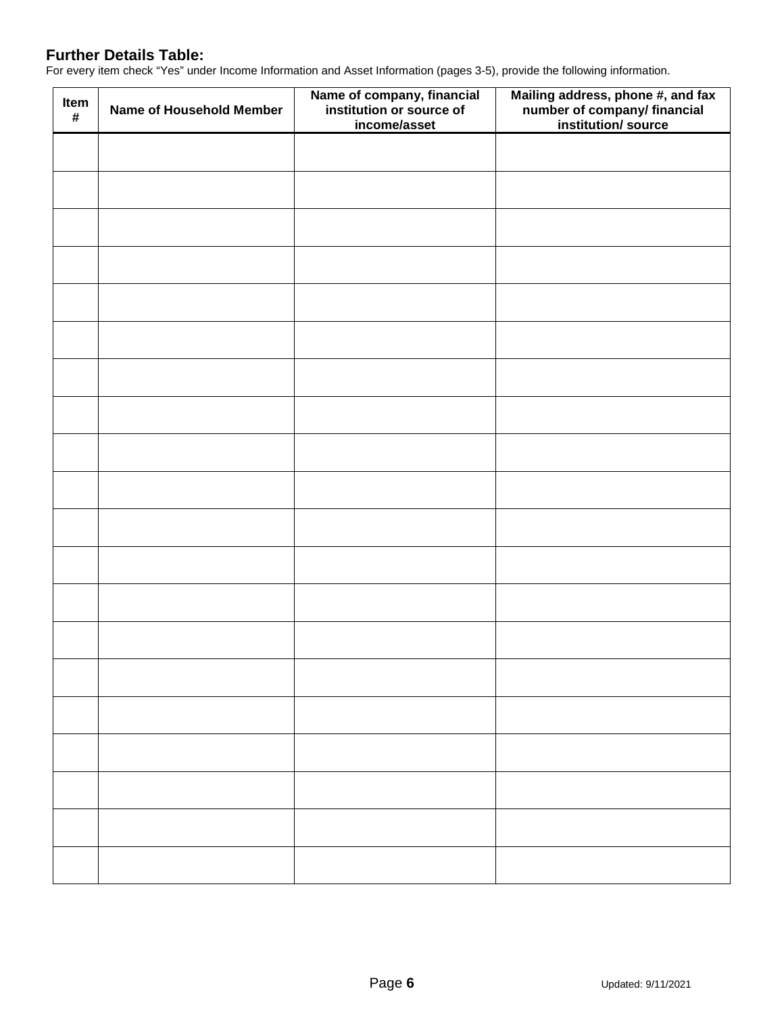# **Further Details Table:**

For every item check "Yes" under Income Information and Asset Information (pages 3-5), provide the following information.

| Item<br>$\pmb{\#}$ | Name of Household Member | Name of company, financial<br>institution or source of<br>income/asset | Mailing address, phone #, and fax<br>number of company/ financial<br>institution/ source |
|--------------------|--------------------------|------------------------------------------------------------------------|------------------------------------------------------------------------------------------|
|                    |                          |                                                                        |                                                                                          |
|                    |                          |                                                                        |                                                                                          |
|                    |                          |                                                                        |                                                                                          |
|                    |                          |                                                                        |                                                                                          |
|                    |                          |                                                                        |                                                                                          |
|                    |                          |                                                                        |                                                                                          |
|                    |                          |                                                                        |                                                                                          |
|                    |                          |                                                                        |                                                                                          |
|                    |                          |                                                                        |                                                                                          |
|                    |                          |                                                                        |                                                                                          |
|                    |                          |                                                                        |                                                                                          |
|                    |                          |                                                                        |                                                                                          |
|                    |                          |                                                                        |                                                                                          |
|                    |                          |                                                                        |                                                                                          |
|                    |                          |                                                                        |                                                                                          |
|                    |                          |                                                                        |                                                                                          |
|                    |                          |                                                                        |                                                                                          |
|                    |                          |                                                                        |                                                                                          |
|                    |                          |                                                                        |                                                                                          |
|                    |                          |                                                                        |                                                                                          |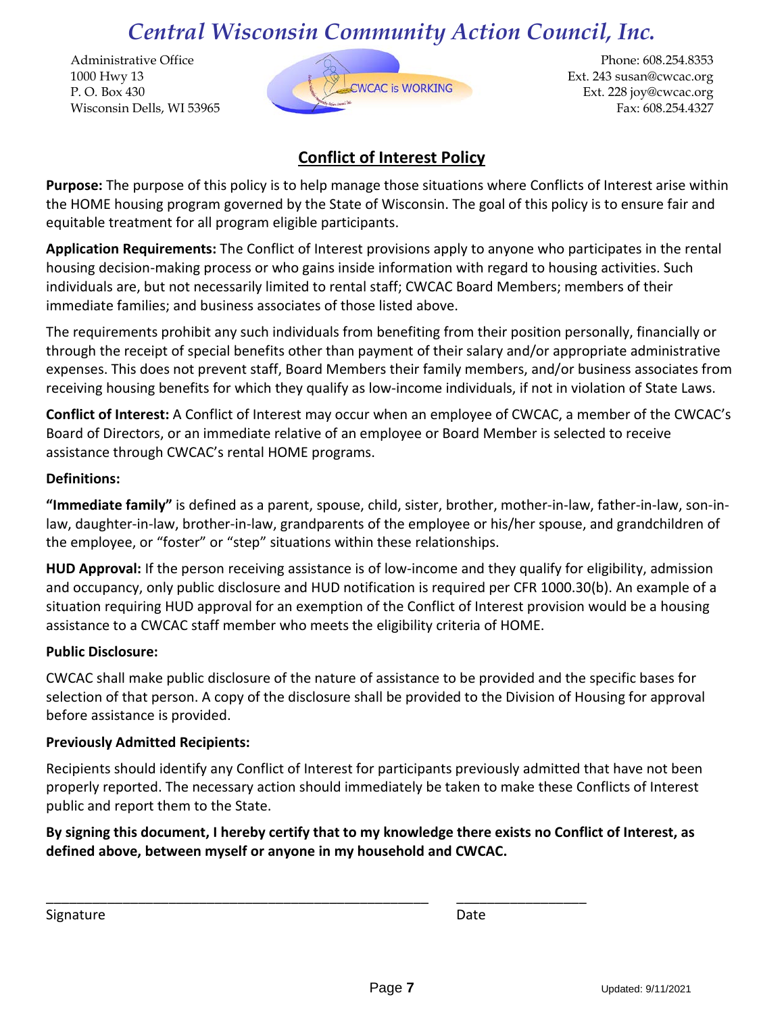Administrative Office 1000 Hwy 13 P. O. Box 430 Wisconsin Dells, WI 53965



Phone: 608.254.8353 Ext. 243 susan@cwcac.org Ext. 228 joy@cwcac.org Fax: 608.254.4327

# **Conflict of Interest Policy**

**Purpose:** The purpose of this policy is to help manage those situations where Conflicts of Interest arise within the HOME housing program governed by the State of Wisconsin. The goal of this policy is to ensure fair and equitable treatment for all program eligible participants.

**Application Requirements:** The Conflict of Interest provisions apply to anyone who participates in the rental housing decision-making process or who gains inside information with regard to housing activities. Such individuals are, but not necessarily limited to rental staff; CWCAC Board Members; members of their immediate families; and business associates of those listed above.

The requirements prohibit any such individuals from benefiting from their position personally, financially or through the receipt of special benefits other than payment of their salary and/or appropriate administrative expenses. This does not prevent staff, Board Members their family members, and/or business associates from receiving housing benefits for which they qualify as low-income individuals, if not in violation of State Laws.

**Conflict of Interest:** A Conflict of Interest may occur when an employee of CWCAC, a member of the CWCAC's Board of Directors, or an immediate relative of an employee or Board Member is selected to receive assistance through CWCAC's rental HOME programs.

# **Definitions:**

**"Immediate family"** is defined as a parent, spouse, child, sister, brother, mother-in-law, father-in-law, son-inlaw, daughter-in-law, brother-in-law, grandparents of the employee or his/her spouse, and grandchildren of the employee, or "foster" or "step" situations within these relationships.

**HUD Approval:** If the person receiving assistance is of low-income and they qualify for eligibility, admission and occupancy, only public disclosure and HUD notification is required per CFR 1000.30(b). An example of a situation requiring HUD approval for an exemption of the Conflict of Interest provision would be a housing assistance to a CWCAC staff member who meets the eligibility criteria of HOME.

# **Public Disclosure:**

CWCAC shall make public disclosure of the nature of assistance to be provided and the specific bases for selection of that person. A copy of the disclosure shall be provided to the Division of Housing for approval before assistance is provided.

# **Previously Admitted Recipients:**

Recipients should identify any Conflict of Interest for participants previously admitted that have not been properly reported. The necessary action should immediately be taken to make these Conflicts of Interest public and report them to the State.

**By signing this document, I hereby certify that to my knowledge there exists no Conflict of Interest, as defined above, between myself or anyone in my household and CWCAC.**

\_\_\_\_\_\_\_\_\_\_\_\_\_\_\_\_\_\_\_\_\_\_\_\_\_\_\_\_\_\_\_\_\_\_\_\_\_\_\_\_\_\_\_\_\_\_\_\_\_\_ \_\_\_\_\_\_\_\_\_\_\_\_\_\_\_\_\_

Signature Date Date Date Date Date Date Date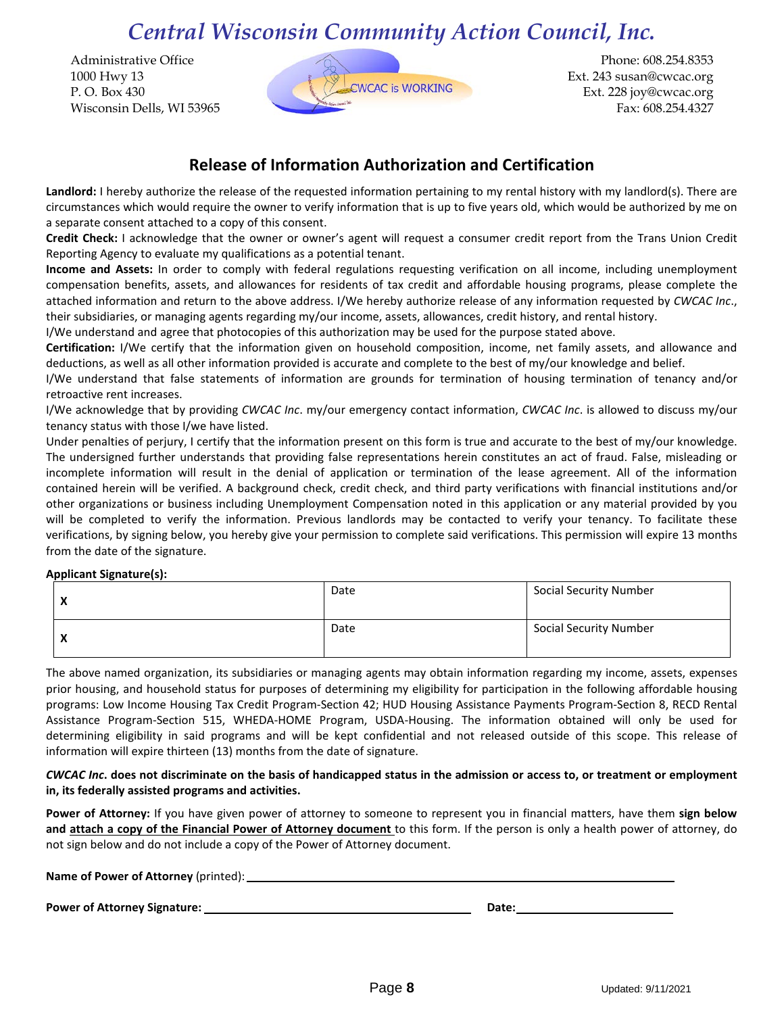Administrative Office 1000 Hwy 13 P. O. Box 430 Wisconsin Dells, WI 53965



Phone: 608.254.8353 Ext. 243 susan@cwcac.org Ext. 228 joy@cwcac.org Fax: 608.254.4327

# **Release of Information Authorization and Certification**

Landlord: I hereby authorize the release of the requested information pertaining to my rental history with my landlord(s). There are circumstances which would require the owner to verify information that is up to five years old, which would be authorized by me on a separate consent attached to a copy of this consent.

**Credit Check:** I acknowledge that the owner or owner's agent will request a consumer credit report from the Trans Union Credit Reporting Agency to evaluate my qualifications as a potential tenant.

**Income and Assets:** In order to comply with federal regulations requesting verification on all income, including unemployment compensation benefits, assets, and allowances for residents of tax credit and affordable housing programs, please complete the attached information and return to the above address. I/We hereby authorize release of any information requested by *CWCAC Inc*., their subsidiaries, or managing agents regarding my/our income, assets, allowances, credit history, and rental history.

I/We understand and agree that photocopies of this authorization may be used for the purpose stated above.

**Certification:** I/We certify that the information given on household composition, income, net family assets, and allowance and deductions, as well as all other information provided is accurate and complete to the best of my/our knowledge and belief.

I/We understand that false statements of information are grounds for termination of housing termination of tenancy and/or retroactive rent increases.

I/We acknowledge that by providing *CWCAC Inc*. my/our emergency contact information, *CWCAC Inc*. is allowed to discuss my/our tenancy status with those I/we have listed.

Under penalties of perjury, I certify that the information present on this form is true and accurate to the best of my/our knowledge. The undersigned further understands that providing false representations herein constitutes an act of fraud. False, misleading or incomplete information will result in the denial of application or termination of the lease agreement. All of the information contained herein will be verified. A background check, credit check, and third party verifications with financial institutions and/or other organizations or business including Unemployment Compensation noted in this application or any material provided by you will be completed to verify the information. Previous landlords may be contacted to verify your tenancy. To facilitate these verifications, by signing below, you hereby give your permission to complete said verifications. This permission will expire 13 months from the date of the signature.

## **Applicant Signature(s):**

| $\mathbf{v}$<br>$\sqrt{ }$             | Date | <b>Social Security Number</b> |
|----------------------------------------|------|-------------------------------|
| $\mathbf{v}$<br>$\mathbf{\mathcal{L}}$ | Date | <b>Social Security Number</b> |

The above named organization, its subsidiaries or managing agents may obtain information regarding my income, assets, expenses prior housing, and household status for purposes of determining my eligibility for participation in the following affordable housing programs: Low Income Housing Tax Credit Program-Section 42; HUD Housing Assistance Payments Program-Section 8, RECD Rental Assistance Program-Section 515, WHEDA-HOME Program, USDA-Housing. The information obtained will only be used for determining eligibility in said programs and will be kept confidential and not released outside of this scope. This release of information will expire thirteen (13) months from the date of signature.

### *CWCAC Inc***. does not discriminate on the basis of handicapped status in the admission or access to, or treatment or employment in, its federally assisted programs and activities.**

**Power of Attorney:** If you have given power of attorney to someone to represent you in financial matters, have them **sign below and attach a copy of the Financial Power of Attorney document** to this form. If the person is only a health power of attorney, do not sign below and do not include a copy of the Power of Attorney document.

| Name of Power of Attorney (printed): |       |  |
|--------------------------------------|-------|--|
|                                      |       |  |
| <b>Power of Attorney Signature:</b>  | Date: |  |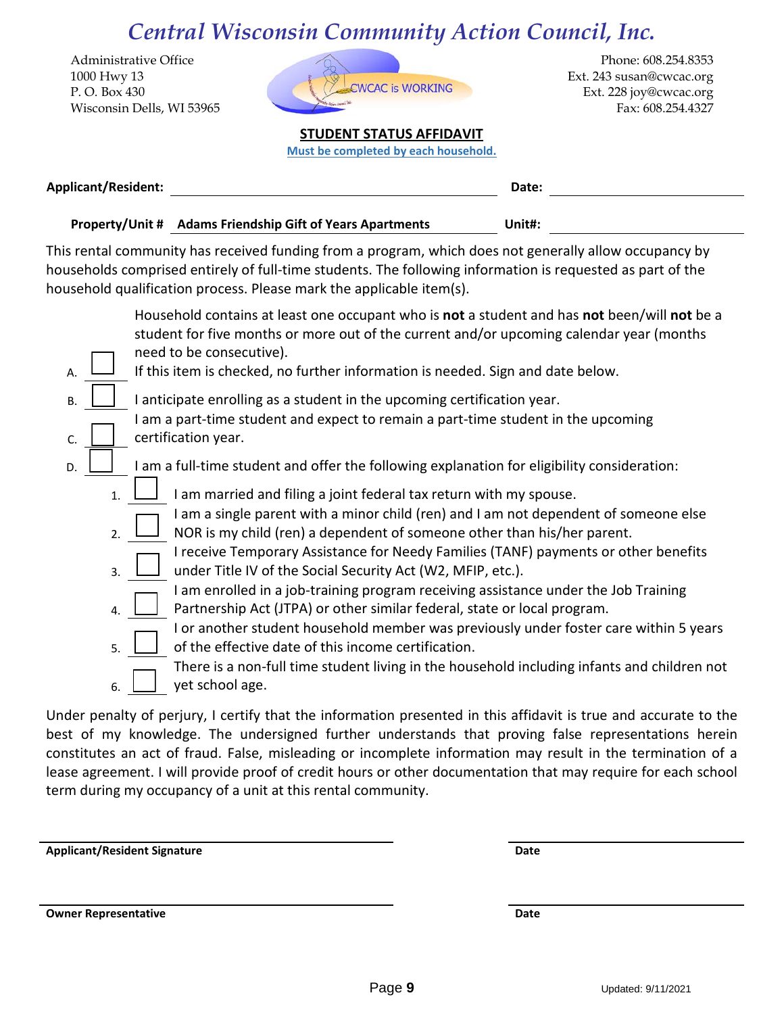Administrative Office 1000 Hwy 13 P. O. Box 430 Wisconsin Dells, WI 53965



Phone: 608.254.8353 Ext. 243 susan@cwcac.org Ext. 228 joy@cwcac.org Fax: 608.254.4327

# **STUDENT STATUS AFFIDAVIT**

**Must be completed by each household.**

| <b>Applicant/Resident:</b> |                                                           | Date:  |  |
|----------------------------|-----------------------------------------------------------|--------|--|
|                            | Property/Unit # Adams Friendship Gift of Years Apartments | Unit#: |  |

This rental community has received funding from a program, which does not generally allow occupancy by households comprised entirely of full-time students. The following information is requested as part of the household qualification process. Please mark the applicable item(s).

|    |              | Household contains at least one occupant who is not a student and has not been/will not be a<br>student for five months or more out of the current and/or upcoming calendar year (months |
|----|--------------|------------------------------------------------------------------------------------------------------------------------------------------------------------------------------------------|
|    |              | need to be consecutive).                                                                                                                                                                 |
| A. |              | If this item is checked, no further information is needed. Sign and date below.                                                                                                          |
| Β. |              | I anticipate enrolling as a student in the upcoming certification year.                                                                                                                  |
|    |              | I am a part-time student and expect to remain a part-time student in the upcoming                                                                                                        |
| C. |              | certification year.                                                                                                                                                                      |
| D. |              | I am a full-time student and offer the following explanation for eligibility consideration:                                                                                              |
|    | $\mathbf{1}$ | I am married and filing a joint federal tax return with my spouse.                                                                                                                       |
|    | 2.           | I am a single parent with a minor child (ren) and I am not dependent of someone else<br>NOR is my child (ren) a dependent of someone other than his/her parent.                          |
|    | 3.           | I receive Temporary Assistance for Needy Families (TANF) payments or other benefits<br>under Title IV of the Social Security Act (W2, MFIP, etc.).                                       |
|    | 4.           | I am enrolled in a job-training program receiving assistance under the Job Training<br>Partnership Act (JTPA) or other similar federal, state or local program.                          |
|    | 5.           | I or another student household member was previously under foster care within 5 years<br>of the effective date of this income certification.                                             |
|    | 6.           | There is a non-full time student living in the household including infants and children not<br>yet school age.                                                                           |
|    |              |                                                                                                                                                                                          |

Under penalty of perjury, I certify that the information presented in this affidavit is true and accurate to the best of my knowledge. The undersigned further understands that proving false representations herein constitutes an act of fraud. False, misleading or incomplete information may result in the termination of a lease agreement. I will provide proof of credit hours or other documentation that may require for each school term during my occupancy of a unit at this rental community.

**Applicant/Resident Signature Date**

**Owner Representative and the set of the set of the set of the set of the set of the set of the set of the set of the set of the set of the set of the set of the set of the set of the set of the set of the set of the set o**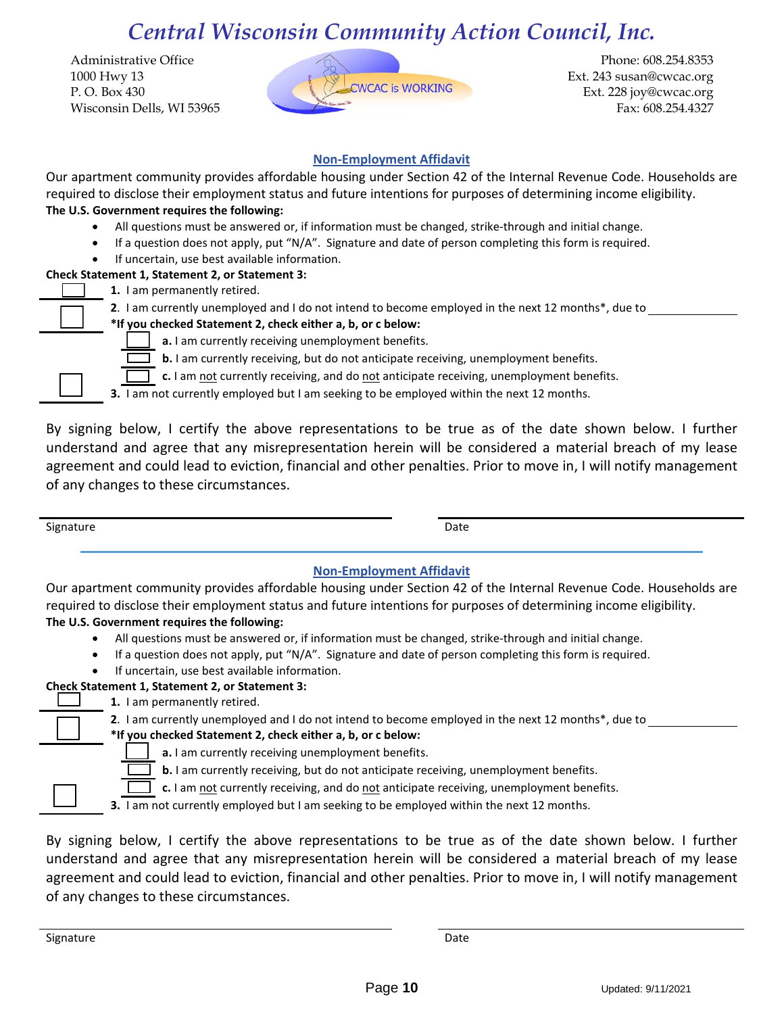Administrative Office 1000 Hwy 13 P. O. Box 430 Wisconsin Dells, WI 53965



Phone: 608.254.8353 Ext. 243 susan@cwcac.org Ext. 228 joy@cwcac.org Fax: 608.254.4327

## **Non-Employment Affidavit**

Our apartment community provides affordable housing under Section 42 of the Internal Revenue Code. Households are required to disclose their employment status and future intentions for purposes of determining income eligibility. **The U.S. Government requires the following:**

- All questions must be answered or, if information must be changed, strike-through and initial change.
- If a question does not apply, put "N/A". Signature and date of person completing this form is required.
- If uncertain, use best available information.

## **Check Statement 1, Statement 2, or Statement 3:**

- **1.** I am permanently retired.
	- **2**. I am currently unemployed and I do not intend to become employed in the next 12 months\*, due to
	- **\*If you checked Statement 2, check either a, b, or c below:**
		- **a.** I am currently receiving unemployment benefits.
		- **b.** I am currently receiving, but do not anticipate receiving, unemployment benefits.
		- **c.** I am not currently receiving, and do not anticipate receiving, unemployment benefits.

**3.** I am not currently employed but I am seeking to be employed within the next 12 months.

By signing below, I certify the above representations to be true as of the date shown below. I further understand and agree that any misrepresentation herein will be considered a material breach of my lease agreement and could lead to eviction, financial and other penalties. Prior to move in, I will notify management of any changes to these circumstances.

Signature Date Date of the Date of the Date of the Date of the Date of the Date of the Date of the Date of the Date of the Date of the Date of the Date of the Date of the Date of the Date of the Date of the Date of the Dat

# **Non-Employment Affidavit**

Our apartment community provides affordable housing under Section 42 of the Internal Revenue Code. Households are required to disclose their employment status and future intentions for purposes of determining income eligibility. **The U.S. Government requires the following:**

- All questions must be answered or, if information must be changed, strike-through and initial change.
- If a question does not apply, put "N/A". Signature and date of person completing this form is required.
- If uncertain, use best available information.

# **Check Statement 1, Statement 2, or Statement 3:**

**1.** I am permanently retired.

**2**. I am currently unemployed and I do not intend to become employed in the next 12 months\*, due to

- **\*If you checked Statement 2, check either a, b, or c below:**
	- **a.** I am currently receiving unemployment benefits.

**b.** I am currently receiving, but do not anticipate receiving, unemployment benefits.

**c.** I am not currently receiving, and do not anticipate receiving, unemployment benefits.

**3.** I am not currently employed but I am seeking to be employed within the next 12 months.

By signing below, I certify the above representations to be true as of the date shown below. I further understand and agree that any misrepresentation herein will be considered a material breach of my lease agreement and could lead to eviction, financial and other penalties. Prior to move in, I will notify management of any changes to these circumstances.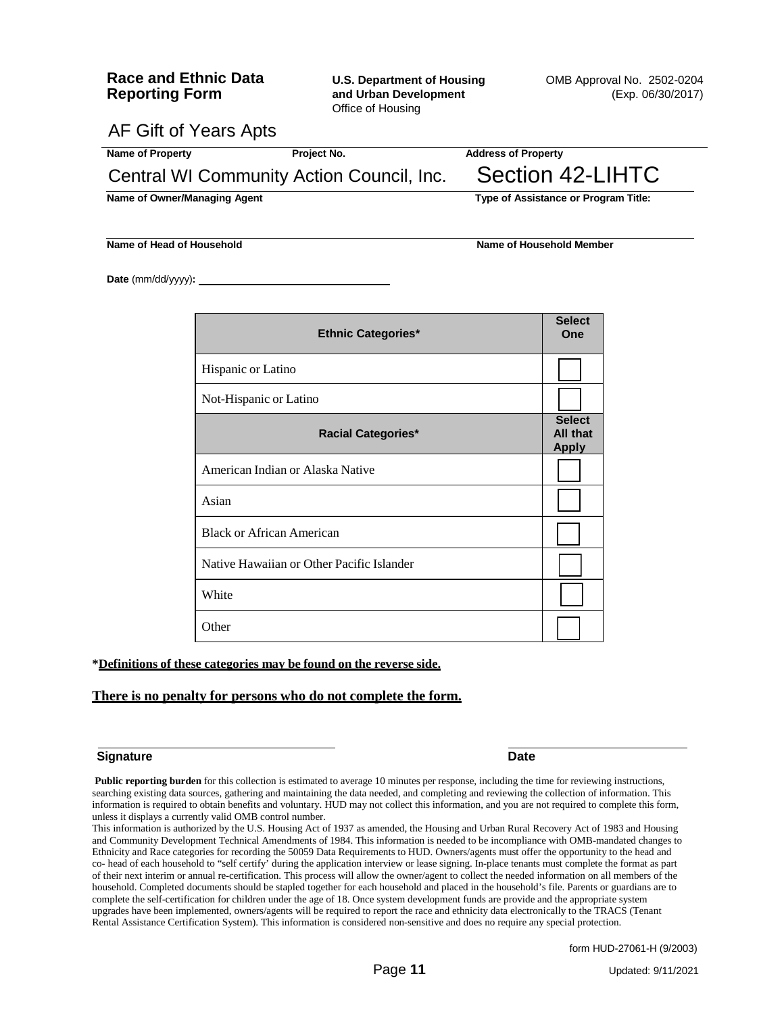Office of Housing

AF Gift of Years Apts

| Name of Property                          | Project No. | <b>Address of Property</b>           |
|-------------------------------------------|-------------|--------------------------------------|
| Central WI Community Action Council, Inc. |             | Section 42-LIHTC                     |
| Name of Owner/Managing Agent              |             | Type of Assistance or Program Title: |

**Name of Head of Household Name of Household Member**

**Date** (mm/dd/yyyy)**:**

| <b>Ethnic Categories*</b>                 | <b>Select</b><br>One                      |
|-------------------------------------------|-------------------------------------------|
| Hispanic or Latino                        |                                           |
| Not-Hispanic or Latino                    |                                           |
| <b>Racial Categories*</b>                 | <b>Select</b><br>All that<br><b>Apply</b> |
| American Indian or Alaska Native          |                                           |
| Asian                                     |                                           |
| <b>Black or African American</b>          |                                           |
| Native Hawaiian or Other Pacific Islander |                                           |
| White                                     |                                           |
| Other                                     |                                           |

**\*Definitions of these categories may be found on the reverse side.**

#### **There is no penalty for persons who do not complete the form.**

#### **Signature Date**

**Public reporting burden** for this collection is estimated to average 10 minutes per response, including the time for reviewing instructions, searching existing data sources, gathering and maintaining the data needed, and completing and reviewing the collection of information. This information is required to obtain benefits and voluntary. HUD may not collect this information, and you are not required to complete this form, unless it displays a currently valid OMB control number.

This information is authorized by the U.S. Housing Act of 1937 as amended, the Housing and Urban Rural Recovery Act of 1983 and Housing and Community Development Technical Amendments of 1984. This information is needed to be incompliance with OMB-mandated changes to Ethnicity and Race categories for recording the 50059 Data Requirements to HUD. Owners/agents must offer the opportunity to the head and co- head of each household to "self certify' during the application interview or lease signing. In-place tenants must complete the format as part of their next interim or annual re-certification. This process will allow the owner/agent to collect the needed information on all members of the household. Completed documents should be stapled together for each household and placed in the household's file. Parents or guardians are to complete the self-certification for children under the age of 18. Once system development funds are provide and the appropriate system upgrades have been implemented, owners/agents will be required to report the race and ethnicity data electronically to the TRACS (Tenant Rental Assistance Certification System). This information is considered non-sensitive and does no require any special protection.